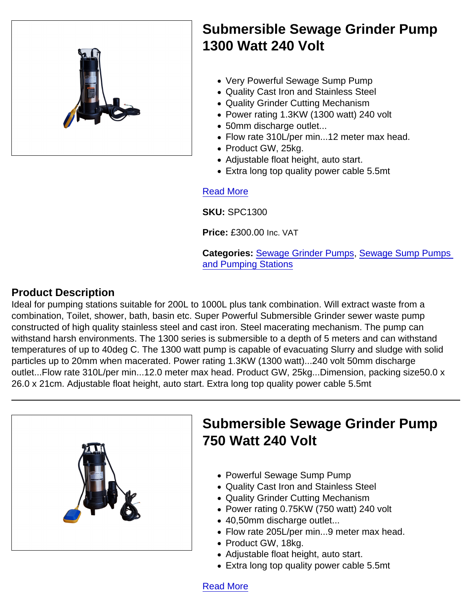

Submersible Sewage Grinder Pump 1300 Watt 240 Volt

- Very Powerful Sewage Sump Pump
- Quality Cast Iron and Stainless Steel
- Quality Grinder Cutting Mechanism
- Power rating 1.3KW (1300 watt) 240 volt
- 50mm discharge outlet...
- Flow rate 310L/per min...12 meter max head.
- Product GW, 25kg.
- Adjustable float height, auto start.
- Extra long top quality power cable 5.5mt

#### [Read More](https://unifloproducts.co.uk/product/submersible-sewage-grinder-pump-1300-watt-240-volt/)

SKU: SPC1300

Price: £300.00 Inc. VAT

Categories: [Sewage Grinder Pumps,](https://unifloproducts.co.uk/product-category/sewage-sump-pumps-and-pumping-stations/sewage-grinder-pumps/) [Sewage Sump Pumps](https://unifloproducts.co.uk/product-category/sewage-sump-pumps-and-pumping-stations/)  [and Pumping Stations](https://unifloproducts.co.uk/product-category/sewage-sump-pumps-and-pumping-stations/)

## Product Description

Ideal for pumping stations suitable for 200L to 1000L plus tank combination. Will extract waste from a combination, Toilet, shower, bath, basin etc. Super Powerful Submersible Grinder sewer waste pump constructed of high quality stainless steel and cast iron. Steel macerating mechanism. The pump can withstand harsh environments. The 1300 series is submersible to a depth of 5 meters and can withstand temperatures of up to 40deg C. The 1300 watt pump is capable of evacuating Slurry and sludge with solid particles up to 20mm when macerated. Power rating 1.3KW (1300 watt)...240 volt 50mm discharge outlet...Flow rate 310L/per min...12.0 meter max head. Product GW, 25kg...Dimension, packing size50.0 x 26.0 x 21cm. Adjustable float height, auto start. Extra long top quality power cable 5.5mt

[Read More](https://unifloproducts.co.uk/product/submersible-sewage-grinder-pump-750-watt-240-volt/)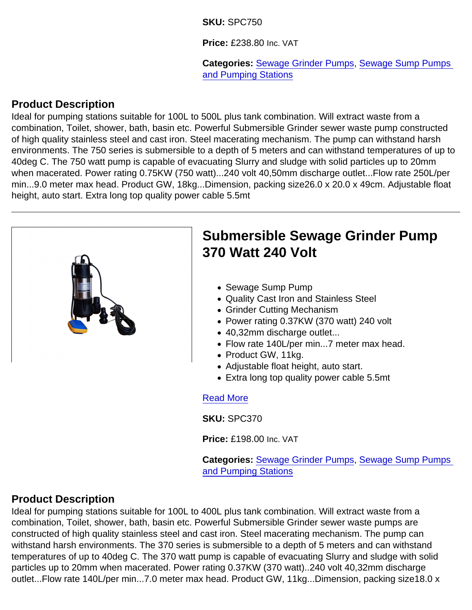#### SKU: SPC750

Price: £238.80 Inc. VAT

Categories: [Sewage Grinder Pumps,](https://unifloproducts.co.uk/product-category/sewage-sump-pumps-and-pumping-stations/sewage-grinder-pumps/) Sewage Sump Pumps [and Pumping Stations](https://unifloproducts.co.uk/product-category/sewage-sump-pumps-and-pumping-stations/)

## Product Description

Ideal for pumping stations suitable for 100L to 500L plus tank combination. Will extract waste from a combination, Toilet, shower, bath, basin etc. Powerful Submersible Grinder sewer waste pump constructed of high quality stainless steel and cast iron. Steel macerating mechanism. The pump can withstand harsh environments. The 750 series is submersible to a depth of 5 meters and can withstand temperatures of up to 40deg C. The 750 watt pump is capable of evacuating Slurry and sludge with solid particles up to 20mm when macerated. Power rating 0.75KW (750 watt)...240 volt 40,50mm discharge outlet...Flow rate 250L/per min...9.0 meter max head. Product GW, 18kg...Dimension, packing size26.0 x 20.0 x 49cm. Adjustable float height, auto start. Extra long top quality power cable 5.5mt



Price: £198.00 Inc. VAT

Categories: [Sewage Grinder Pumps,](https://unifloproducts.co.uk/product-category/sewage-sump-pumps-and-pumping-stations/sewage-grinder-pumps/) [Sewage Sump Pumps](https://unifloproducts.co.uk/product-category/sewage-sump-pumps-and-pumping-stations/)  [and Pumping Stations](https://unifloproducts.co.uk/product-category/sewage-sump-pumps-and-pumping-stations/)

## Product Description

Ideal for pumping stations suitable for 100L to 400L plus tank combination. Will extract waste from a combination, Toilet, shower, bath, basin etc. Powerful Submersible Grinder sewer waste pumps are constructed of high quality stainless steel and cast iron. Steel macerating mechanism. The pump can withstand harsh environments. The 370 series is submersible to a depth of 5 meters and can withstand temperatures of up to 40deg C. The 370 watt pump is capable of evacuating Slurry and sludge with solid particles up to 20mm when macerated. Power rating 0.37KW (370 watt)..240 volt 40,32mm discharge outlet...Flow rate 140L/per min...7.0 meter max head. Product GW, 11kg...Dimension, packing size18.0 x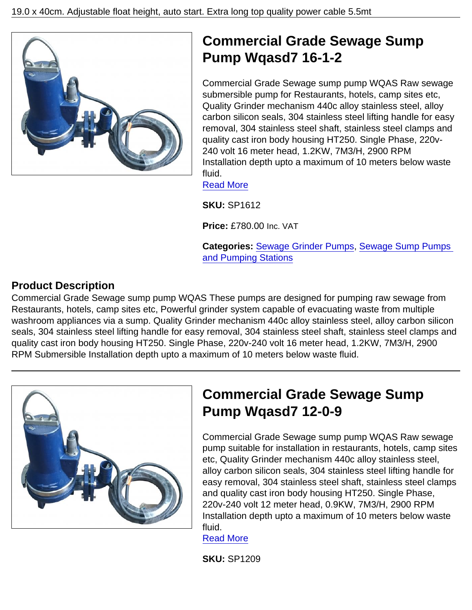

Commercial Grade Sewage sump pump WQAS Raw sewage submersible pump for Restaurants, hotels, camp sites etc, Quality Grinder mechanism 440c alloy stainless steel, alloy carbon silicon seals, 304 stainless steel lifting handle for easy removal, 304 stainless steel shaft, stainless steel clamps and quality cast iron body housing HT250. Single Phase, 220v-240 volt 16 meter head, 1.2KW, 7M3/H, 2900 RPM Installation depth upto a maximum of 10 meters below waste fluid.

[Read More](https://unifloproducts.co.uk/product/commercial-grade-sewage-sump-pump-wqasd7-16-1-2/)

SKU: SP1612

Price: £780.00 Inc. VAT

Categories: [Sewage Grinder Pumps,](https://unifloproducts.co.uk/product-category/sewage-sump-pumps-and-pumping-stations/sewage-grinder-pumps/) [Sewage Sump Pumps](https://unifloproducts.co.uk/product-category/sewage-sump-pumps-and-pumping-stations/)  [and Pumping Stations](https://unifloproducts.co.uk/product-category/sewage-sump-pumps-and-pumping-stations/)

## Product Description

Commercial Grade Sewage sump pump WQAS These pumps are designed for pumping raw sewage from Restaurants, hotels, camp sites etc, Powerful grinder system capable of evacuating waste from multiple washroom appliances via a sump. Quality Grinder mechanism 440c alloy stainless steel, alloy carbon silicon seals, 304 stainless steel lifting handle for easy removal, 304 stainless steel shaft, stainless steel clamps and quality cast iron body housing HT250. Single Phase, 220v-240 volt 16 meter head, 1.2KW, 7M3/H, 2900 RPM Submersible Installation depth upto a maximum of 10 meters below waste fluid.

|  | Ć<br>P                    |
|--|---------------------------|
|  |                           |
|  | C pi et al ea ar 22 In et |
|  |                           |
|  |                           |
|  |                           |
|  |                           |
|  |                           |
|  |                           |
|  |                           |

# Commercial Grade Sewage Sump Pump Wqasd7 12-0-9

ommercial Grade Sewage sump pump WQAS Raw sewage ump suitable for installation in restaurants, hotels, camp sites tc, Quality Grinder mechanism 440c alloy stainless steel, lloy carbon silicon seals, 304 stainless steel lifting handle for asy removal, 304 stainless steel shaft, stainless steel clamps nd quality cast iron body housing HT250. Single Phase, 220v-240 volt 12 meter head, 0.9KW, 7M3/H, 2900 RPM stallation depth upto a maximum of 10 meters below waste fluid.

[Read More](https://unifloproducts.co.uk/product/commercial-grade-sewage-sump-pump-wqasd7-12-0-9/)

SKU: SP1209